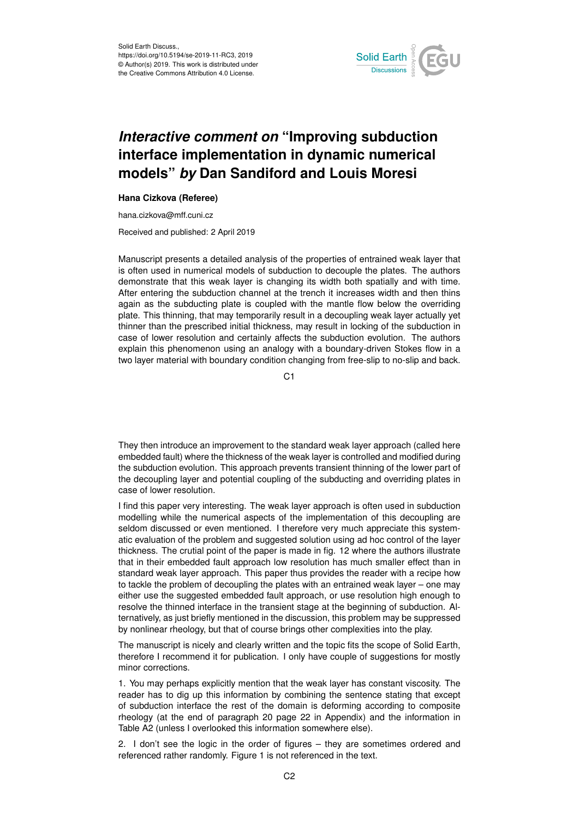

## *Interactive comment on* **"Improving subduction interface implementation in dynamic numerical models"** *by* **Dan Sandiford and Louis Moresi**

## **Hana Cizkova (Referee)**

hana.cizkova@mff.cuni.cz

Received and published: 2 April 2019

Manuscript presents a detailed analysis of the properties of entrained weak layer that is often used in numerical models of subduction to decouple the plates. The authors demonstrate that this weak layer is changing its width both spatially and with time. After entering the subduction channel at the trench it increases width and then thins again as the subducting plate is coupled with the mantle flow below the overriding plate. This thinning, that may temporarily result in a decoupling weak layer actually yet thinner than the prescribed initial thickness, may result in locking of the subduction in case of lower resolution and certainly affects the subduction evolution. The authors explain this phenomenon using an analogy with a boundary-driven Stokes flow in a two layer material with boundary condition changing from free-slip to no-slip and back.

C1

They then introduce an improvement to the standard weak layer approach (called here embedded fault) where the thickness of the weak layer is controlled and modified during the subduction evolution. This approach prevents transient thinning of the lower part of the decoupling layer and potential coupling of the subducting and overriding plates in case of lower resolution.

I find this paper very interesting. The weak layer approach is often used in subduction modelling while the numerical aspects of the implementation of this decoupling are seldom discussed or even mentioned. I therefore very much appreciate this systematic evaluation of the problem and suggested solution using ad hoc control of the layer thickness. The crutial point of the paper is made in fig. 12 where the authors illustrate that in their embedded fault approach low resolution has much smaller effect than in standard weak layer approach. This paper thus provides the reader with a recipe how to tackle the problem of decoupling the plates with an entrained weak layer – one may either use the suggested embedded fault approach, or use resolution high enough to resolve the thinned interface in the transient stage at the beginning of subduction. Alternatively, as just briefly mentioned in the discussion, this problem may be suppressed by nonlinear rheology, but that of course brings other complexities into the play.

The manuscript is nicely and clearly written and the topic fits the scope of Solid Earth, therefore I recommend it for publication. I only have couple of suggestions for mostly minor corrections.

1. You may perhaps explicitly mention that the weak layer has constant viscosity. The reader has to dig up this information by combining the sentence stating that except of subduction interface the rest of the domain is deforming according to composite rheology (at the end of paragraph 20 page 22 in Appendix) and the information in Table A2 (unless I overlooked this information somewhere else).

2. I don't see the logic in the order of figures – they are sometimes ordered and referenced rather randomly. Figure 1 is not referenced in the text.